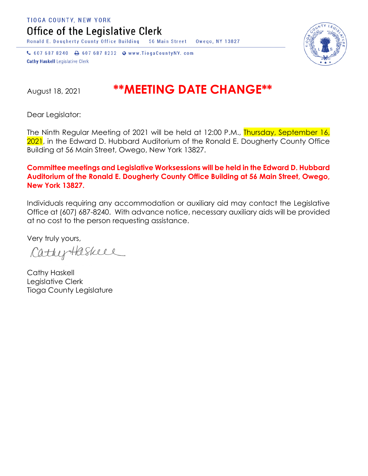TIOGA COUNTY, NEW YORK

Office of the Legislative Clerk

Ronald E. Dougherty County Office Building 56 Main Street Owego, NY 13827

↓ 607 687 8240 → 607 687 8232 → www.TiogaCountyNY.com **Cathy Haskell Legislative Clerk** 

## August 18, 2021 **\*\*MEETING DATE CHANGE\*\***

Dear Legislator:

The Ninth Regular Meeting of 2021 will be held at 12:00 P.M., Thursday, September 16, 2021, in the Edward D. Hubbard Auditorium of the Ronald E. Dougherty County Office Building at 56 Main Street, Owego, New York 13827.

## **Committee meetings and Legislative Worksessions will be held in the Edward D. Hubbard Auditorium of the Ronald E. Dougherty County Office Building at 56 Main Street, Owego, New York 13827.**

Individuals requiring any accommodation or auxiliary aid may contact the Legislative Office at (607) 687-8240. With advance notice, necessary auxiliary aids will be provided at no cost to the person requesting assistance.

Very truly yours,

CathyHaskell

Cathy Haskell Legislative Clerk Tioga County Legislature